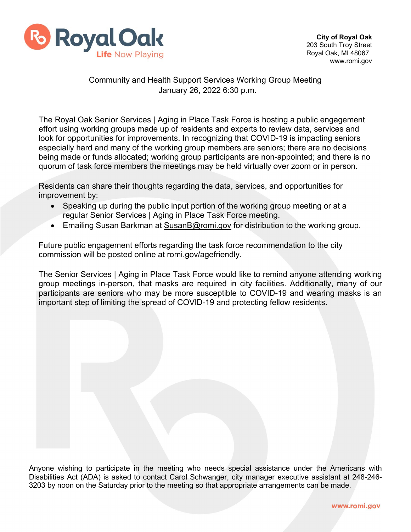

## Community and Health Support Services Working Group Meeting January 26, 2022 6:30 p.m.

The Royal Oak Senior Services | Aging in Place Task Force is hosting a public engagement effort using working groups made up of residents and experts to review data, services and look for opportunities for improvements. In recognizing that COVID-19 is impacting seniors especially hard and many of the working group members are seniors; there are no decisions being made or funds allocated; working group participants are non-appointed; and there is no quorum of task force members the meetings may be held virtually over zoom or in person.

Residents can share their thoughts regarding the data, services, and opportunities for improvement by:

- Speaking up during the public input portion of the working group meeting or at a regular Senior Services | Aging in Place Task Force meeting.
- Emailing Susan Barkman at [SusanB@romi.gov](mailto:SusanB@romi.gov) for distribution to the working group.

Future public engagement efforts regarding the task force recommendation to the city commission will be posted online at romi.gov/agefriendly.

The Senior Services | Aging in Place Task Force would like to remind anyone attending working group meetings in-person, that masks are required in city facilities. Additionally, many of our participants are seniors who may be more susceptible to COVID-19 and wearing masks is an important step of limiting the spread of COVID-19 and protecting fellow residents.

Anyone wishing to participate in the meeting who needs special assistance under the Americans with Disabilities Act (ADA) is asked to contact Carol Schwanger, city manager executive assistant at 248-246- 3203 by noon on the Saturday prior to the meeting so that appropriate arrangements can be made.